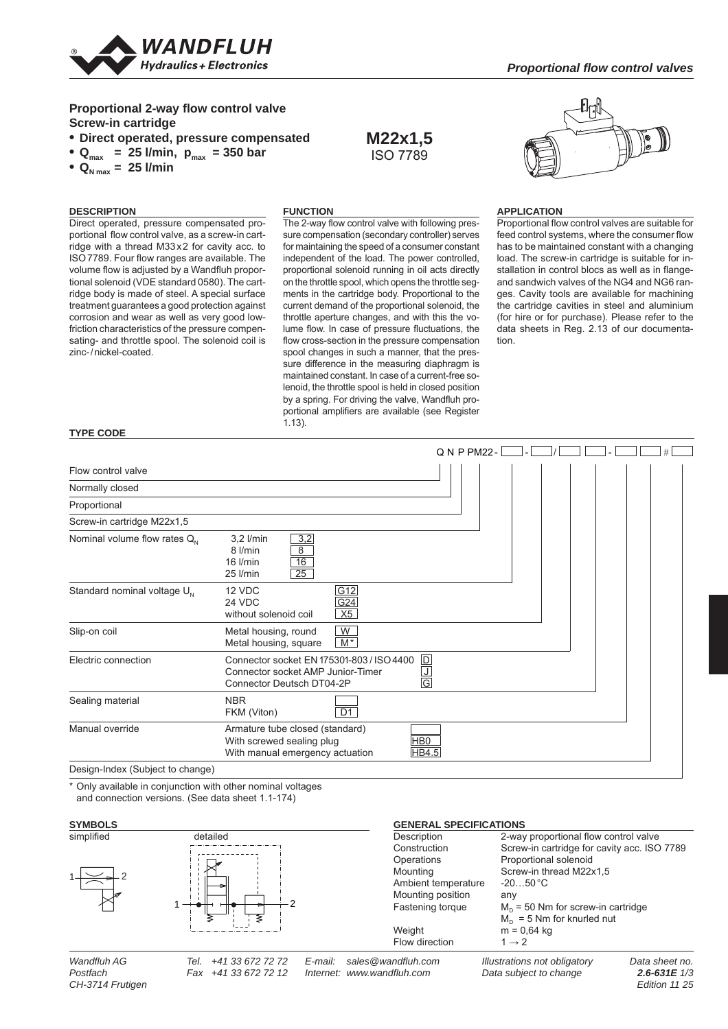

## **Proportional 2-way flow control valve Screw-in cartridge**

- **Direct operated, pressure compensated**
- $Q_{\text{max}}$  = 25 l/min,  $p_{\text{max}}$  = 350 bar
- $Q_{N \text{ max}} = 25$  l/min

# **DESCRIPTION**

**TYPE CODE**

#### **FUNCTION**

Direct operated, pressure compensated proportional flow control valve, as a screw-in cartridge with a thread M33 x 2 for cavity acc. to ISO 7789. Four flow ranges are available. The volume flow is adjusted by a Wandfluh proportional solenoid (VDE standard 0580). The cartridge body is made of steel. A special surface treatment guarantees a good protection against corrosion and wear as well as very good lowfriction characteristics of the pressure compensating- and throttle spool. The solenoid coil is zinc-/nickel-coated.

The 2-way flow control valve with following pressure compensation (secondary controller) serves for maintaining the speed of a consumer constant independent of the load. The power controlled, proportional solenoid running in oil acts directly on the throttle spool, which opens the throttle segments in the cartridge body. Proportional to the current demand of the proportional solenoid, the throttle aperture changes, and with this the volume flow. In case of pressure fluctuations, the flow cross-section in the pressure compensation spool changes in such a manner, that the pressure difference in the measuring diaphragm is maintained constant. In case of a current-free solenoid, the throttle spool is held in closed position by a spring. For driving the valve, Wandfluh proportional amplifiers are available (see Register 1.13).

**M22x1,5** ISO 7789



#### **APPLICATION**

Proportional flow control valves are suitable for feed control systems, where the consumer flow has to be maintained constant with a changing load. The screw-in cartridge is suitable for installation in control blocs as well as in flangeand sandwich valves of the NG4 and NG6 ranges. Cavity tools are available for machining the cartridge cavities in steel and aluminium (for hire or for purchase). Please refer to the data sheets in Reg. 2.13 of our documentation.

|                                         |                                                                                                                                                                      |                                      | Q N P PM22- |  |  |  |
|-----------------------------------------|----------------------------------------------------------------------------------------------------------------------------------------------------------------------|--------------------------------------|-------------|--|--|--|
| Flow control valve                      |                                                                                                                                                                      |                                      |             |  |  |  |
| Normally closed                         |                                                                                                                                                                      |                                      |             |  |  |  |
| Proportional                            |                                                                                                                                                                      |                                      |             |  |  |  |
| Screw-in cartridge M22x1,5              |                                                                                                                                                                      |                                      |             |  |  |  |
| Nominal volume flow rates $Q_N$         | 3,2<br>3,2 l/min<br>$\overline{8}$<br>8 l/min<br>16<br>$16$ I/min<br>25<br>25 l/min                                                                                  |                                      |             |  |  |  |
| Standard nominal voltage U <sub>N</sub> | 12 VDC<br>24 VDC<br>without solenoid coil                                                                                                                            | <u> G12</u><br>G <sub>24</sub><br>X5 |             |  |  |  |
| Slip-on coil                            | Metal housing, round<br>Metal housing, square                                                                                                                        | W<br>$M^*$                           |             |  |  |  |
| Electric connection                     | $\overline{D}$<br>Connector socket EN 175301-803 / ISO 4400<br>Connector socket AMP Junior-Timer<br><u>ل</u><br>$\overline{\mathsf{G}}$<br>Connector Deutsch DT04-2P |                                      |             |  |  |  |
| Sealing material                        | <b>NBR</b><br>FKM (Viton)                                                                                                                                            | $\overline{D1}$                      |             |  |  |  |
| Manual override                         | Armature tube closed (standard)<br>With screwed sealing plug<br>With manual emergency actuation                                                                      | H <sub>B0</sub><br>HB4.5             |             |  |  |  |
| Design-Index (Subject to change)        |                                                                                                                                                                      |                                      |             |  |  |  |

\* Only available in conjunction with other nominal voltages and connection versions. (See data sheet 1.1-174)

*CH-3714 Frutigen* 

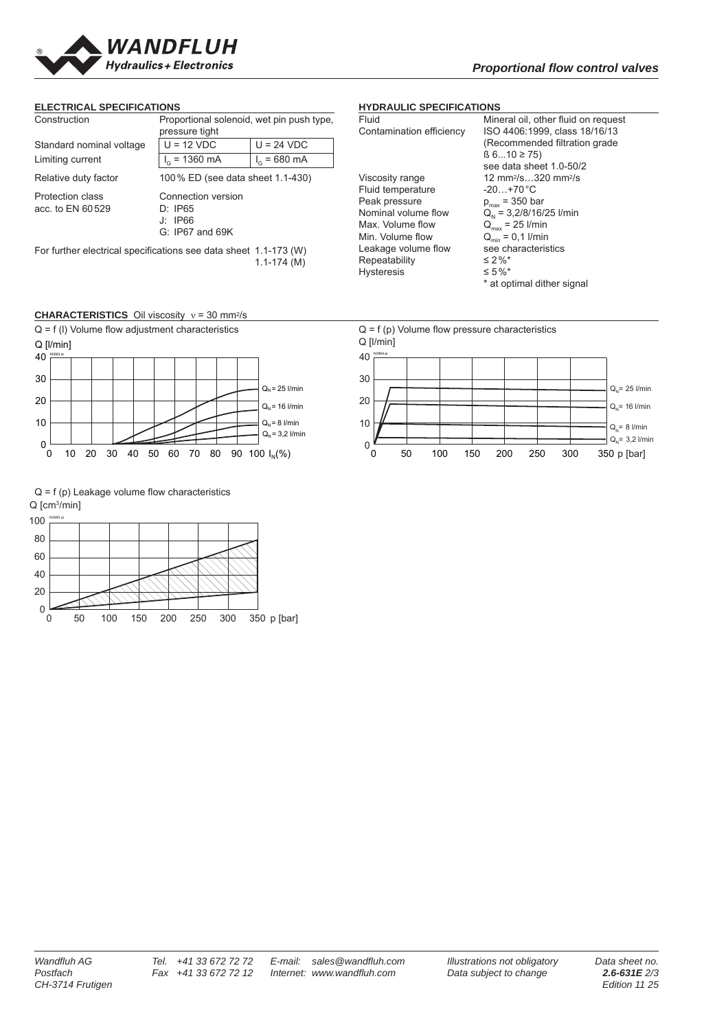

#### **ELECTRICAL SPECIFICATIONS**

| Construction                                | Proportional solenoid, wet pin push type,                       |                        |  |  |
|---------------------------------------------|-----------------------------------------------------------------|------------------------|--|--|
|                                             | pressure tight                                                  |                        |  |  |
| Standard nominal voltage                    | $U = 12 VDC$                                                    | $U = 24 VDC$           |  |  |
| Limiting current                            | $I_G$ = 1360 mA                                                 | $I_c = 680 \text{ mA}$ |  |  |
| Relative duty factor                        | 100 % ED (see data sheet 1.1-430)                               |                        |  |  |
| <b>Protection class</b><br>acc. to EN 60529 | Connection version<br>D: IP65<br>J: IP66<br>$G: IP67$ and $69K$ |                        |  |  |

For further electrical specifications see data sheet 1.1-173 (W)  $1.1 - 174(M)$ 

# **CHARACTERISTICS** Oil viscosity ν = 30 mm2/s



 $Q = f(p)$  Leakage volume flow characteristics Q [cm<sup>3</sup>/min]



### **HYDRAULIC SPECIFICATIONS**

| Fluid                    | Mineral oil, other fluid on request         |
|--------------------------|---------------------------------------------|
| Contamination efficiency | ISO 4406:1999, class 18/16/13               |
|                          | (Recommended filtration grade               |
|                          | (6.0.10 ≥ 75)                               |
|                          | see data sheet 1.0-50/2                     |
| Viscosity range          | 12 mm <sup>2</sup> /s320 mm <sup>2</sup> /s |
| Fluid temperature        | $-20+70 °C$                                 |
| Peak pressure            | $p_{max}$ = 350 bar                         |
| Nominal volume flow      | $Q_{N}$ = 3,2/8/16/25 l/min                 |
| Max. Volume flow         | $Q_{\text{max}}$ = 25 I/min                 |
| Min. Volume flow         | $Q_{\min} = 0.1$ I/min                      |
| Leakage volume flow      | see characteristics                         |
| Repeatability            | ≤ 2 %*                                      |
| Hysteresis               | ≤ 5%*                                       |
|                          | * at optimal dither signal                  |
|                          |                                             |

 $Q = f(p)$  Volume flow pressure characteristics